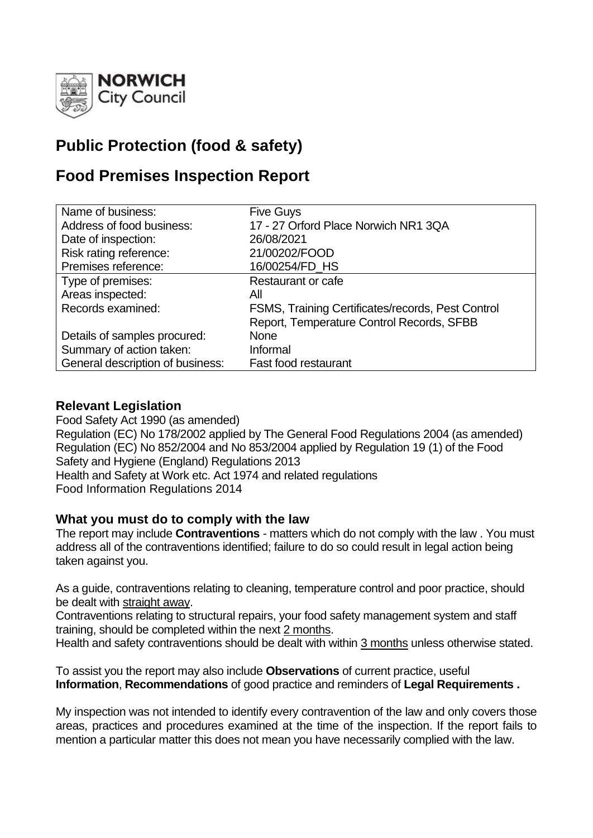

# **Public Protection (food & safety)**

# **Food Premises Inspection Report**

| Name of business:                | <b>Five Guys</b>                                  |
|----------------------------------|---------------------------------------------------|
| Address of food business:        | 17 - 27 Orford Place Norwich NR1 3QA              |
| Date of inspection:              | 26/08/2021                                        |
| Risk rating reference:           | 21/00202/FOOD                                     |
| Premises reference:              | 16/00254/FD_HS                                    |
| Type of premises:                | Restaurant or cafe                                |
| Areas inspected:                 | All                                               |
| Records examined:                | FSMS, Training Certificates/records, Pest Control |
|                                  | Report, Temperature Control Records, SFBB         |
| Details of samples procured:     | <b>None</b>                                       |
| Summary of action taken:         | Informal                                          |
| General description of business: | Fast food restaurant                              |

## **Relevant Legislation**

Food Safety Act 1990 (as amended) Regulation (EC) No 178/2002 applied by The General Food Regulations 2004 (as amended) Regulation (EC) No 852/2004 and No 853/2004 applied by Regulation 19 (1) of the Food Safety and Hygiene (England) Regulations 2013 Health and Safety at Work etc. Act 1974 and related regulations Food Information Regulations 2014

### **What you must do to comply with the law**

The report may include **Contraventions** - matters which do not comply with the law . You must address all of the contraventions identified; failure to do so could result in legal action being taken against you.

As a guide, contraventions relating to cleaning, temperature control and poor practice, should be dealt with straight away.

Contraventions relating to structural repairs, your food safety management system and staff training, should be completed within the next 2 months.

Health and safety contraventions should be dealt with within 3 months unless otherwise stated.

To assist you the report may also include **Observations** of current practice, useful **Information**, **Recommendations** of good practice and reminders of **Legal Requirements .**

My inspection was not intended to identify every contravention of the law and only covers those areas, practices and procedures examined at the time of the inspection. If the report fails to mention a particular matter this does not mean you have necessarily complied with the law.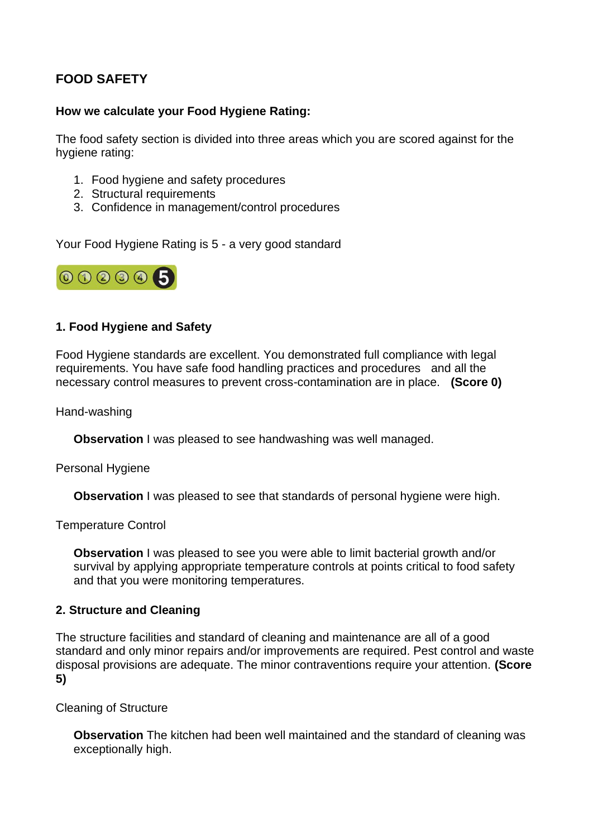# **FOOD SAFETY**

#### **How we calculate your Food Hygiene Rating:**

The food safety section is divided into three areas which you are scored against for the hygiene rating:

- 1. Food hygiene and safety procedures
- 2. Structural requirements
- 3. Confidence in management/control procedures

Your Food Hygiene Rating is 5 - a very good standard



### **1. Food Hygiene and Safety**

Food Hygiene standards are excellent. You demonstrated full compliance with legal requirements. You have safe food handling practices and procedures and all the necessary control measures to prevent cross-contamination are in place. **(Score 0)**

Hand-washing

**Observation I** was pleased to see handwashing was well managed.

Personal Hygiene

**Observation** I was pleased to see that standards of personal hygiene were high.

Temperature Control

**Observation** I was pleased to see you were able to limit bacterial growth and/or survival by applying appropriate temperature controls at points critical to food safety and that you were monitoring temperatures.

### **2. Structure and Cleaning**

The structure facilities and standard of cleaning and maintenance are all of a good standard and only minor repairs and/or improvements are required. Pest control and waste disposal provisions are adequate. The minor contraventions require your attention. **(Score 5)**

Cleaning of Structure

**Observation** The kitchen had been well maintained and the standard of cleaning was exceptionally high.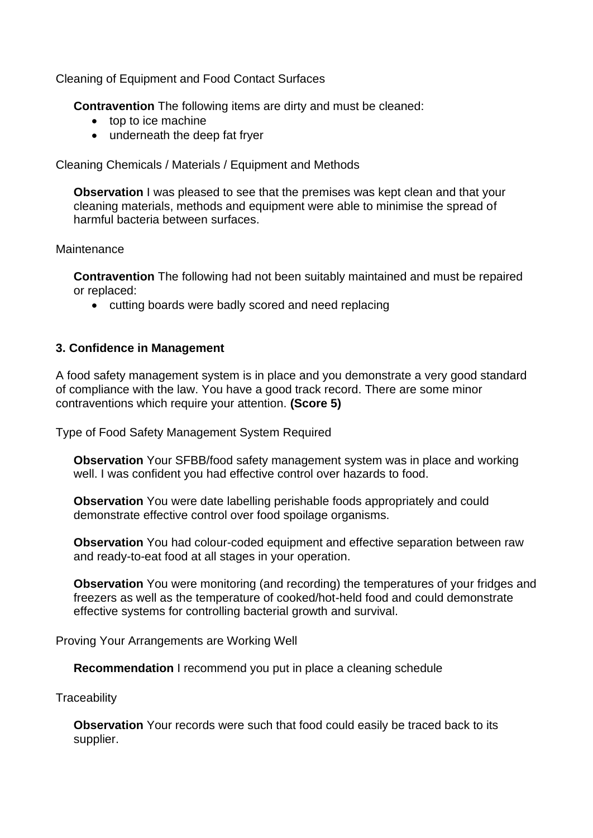Cleaning of Equipment and Food Contact Surfaces

**Contravention** The following items are dirty and must be cleaned:

- top to ice machine
- underneath the deep fat fryer

Cleaning Chemicals / Materials / Equipment and Methods

**Observation** I was pleased to see that the premises was kept clean and that your cleaning materials, methods and equipment were able to minimise the spread of harmful bacteria between surfaces.

#### **Maintenance**

**Contravention** The following had not been suitably maintained and must be repaired or replaced:

• cutting boards were badly scored and need replacing

#### **3. Confidence in Management**

A food safety management system is in place and you demonstrate a very good standard of compliance with the law. You have a good track record. There are some minor contraventions which require your attention. **(Score 5)**

Type of Food Safety Management System Required

**Observation** Your SFBB/food safety management system was in place and working well. I was confident you had effective control over hazards to food.

**Observation** You were date labelling perishable foods appropriately and could demonstrate effective control over food spoilage organisms.

**Observation** You had colour-coded equipment and effective separation between raw and ready-to-eat food at all stages in your operation.

**Observation** You were monitoring (and recording) the temperatures of your fridges and freezers as well as the temperature of cooked/hot-held food and could demonstrate effective systems for controlling bacterial growth and survival.

Proving Your Arrangements are Working Well

**Recommendation** I recommend you put in place a cleaning schedule

**Traceability** 

**Observation** Your records were such that food could easily be traced back to its supplier.